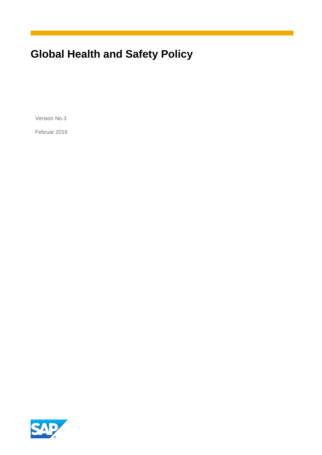# **Global Health and Safety Policy**

Version No.3

Februar 2016

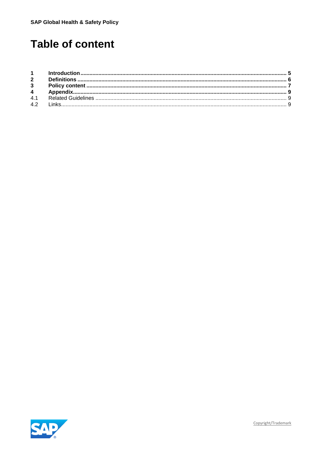## **Table of content**

| 4.1 |  |
|-----|--|
|     |  |



Copyright/Trademark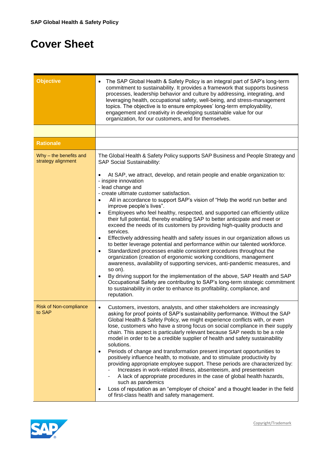## **Cover Sheet**

| <b>Objective</b>                             | The SAP Global Health & Safety Policy is an integral part of SAP's long-term<br>$\bullet$<br>commitment to sustainability. It provides a framework that supports business<br>processes, leadership behavior and culture by addressing, integrating, and<br>leveraging health, occupational safety, well-being, and stress-management<br>topics. The objective is to ensure employees' long-term employability,<br>engagement and creativity in developing sustainable value for our<br>organization, for our customers, and for themselves.                                                                                                                                                                                                                                                                                                                                                                                                                                                                                                                                                                                                                                                                                                                                                                                                                                                                 |
|----------------------------------------------|-------------------------------------------------------------------------------------------------------------------------------------------------------------------------------------------------------------------------------------------------------------------------------------------------------------------------------------------------------------------------------------------------------------------------------------------------------------------------------------------------------------------------------------------------------------------------------------------------------------------------------------------------------------------------------------------------------------------------------------------------------------------------------------------------------------------------------------------------------------------------------------------------------------------------------------------------------------------------------------------------------------------------------------------------------------------------------------------------------------------------------------------------------------------------------------------------------------------------------------------------------------------------------------------------------------------------------------------------------------------------------------------------------------|
|                                              |                                                                                                                                                                                                                                                                                                                                                                                                                                                                                                                                                                                                                                                                                                                                                                                                                                                                                                                                                                                                                                                                                                                                                                                                                                                                                                                                                                                                             |
| <b>Rationale</b>                             |                                                                                                                                                                                                                                                                                                                                                                                                                                                                                                                                                                                                                                                                                                                                                                                                                                                                                                                                                                                                                                                                                                                                                                                                                                                                                                                                                                                                             |
| Why - the benefits and<br>strategy alignment | The Global Health & Safety Policy supports SAP Business and People Strategy and<br><b>SAP Social Sustainability:</b><br>At SAP, we attract, develop, and retain people and enable organization to:<br>$\bullet$<br>- inspire innovation<br>- lead change and<br>- create ultimate customer satisfaction.<br>All in accordance to support SAP's vision of "Help the world run better and<br>$\bullet$<br>improve people's lives".<br>Employees who feel healthy, respected, and supported can efficiently utilize<br>$\bullet$<br>their full potential, thereby enabling SAP to better anticipate and meet or<br>exceed the needs of its customers by providing high-quality products and<br>services.<br>Effectively addressing health and safety issues in our organization allows us<br>$\bullet$<br>to better leverage potential and performance within our talented workforce.<br>Standardized processes enable consistent procedures throughout the<br>$\bullet$<br>organization (creation of ergonomic working conditions, management<br>awareness, availability of supporting services, anti-pandemic measures, and<br>so on).<br>By driving support for the implementation of the above, SAP Health and SAP<br>$\bullet$<br>Occupational Safety are contributing to SAP's long-term strategic commitment<br>to sustainability in order to enhance its profitability, compliance, and<br>reputation. |
| <b>Risk of Non-compliance</b><br>to SAP      | Customers, investors, analysts, and other stakeholders are increasingly<br>$\bullet$<br>asking for proof points of SAP's sustainability performance. Without the SAP<br>Global Health & Safety Policy, we might experience conflicts with, or even<br>lose, customers who have a strong focus on social compliance in their supply<br>chain. This aspect is particularly relevant because SAP needs to be a role<br>model in order to be a credible supplier of health and safety sustainability<br>solutions.<br>Periods of change and transformation present important opportunities to<br>$\bullet$<br>positively influence health, to motivate, and to stimulate productivity by<br>providing appropriate employee support. These periods are characterized by:<br>Increases in work-related illness, absenteeism, and presenteeism<br>A lack of appropriate procedures in the case of global health hazards,<br>such as pandemics<br>Loss of reputation as an "employer of choice" and a thought leader in the field<br>$\bullet$<br>of first-class health and safety management.                                                                                                                                                                                                                                                                                                                      |

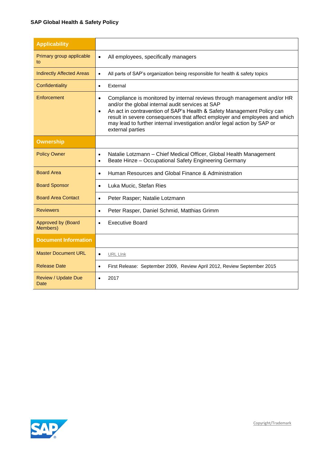#### **SAP Global Health & Safety Policy**

| <b>Applicability</b>                  |                                                                                                                                                                                                                                                                                                                                                                                                                |
|---------------------------------------|----------------------------------------------------------------------------------------------------------------------------------------------------------------------------------------------------------------------------------------------------------------------------------------------------------------------------------------------------------------------------------------------------------------|
| Primary group applicable<br>to        | All employees, specifically managers<br>$\bullet$                                                                                                                                                                                                                                                                                                                                                              |
| <b>Indirectly Affected Areas</b>      | All parts of SAP's organization being responsible for health & safety topics<br>$\bullet$                                                                                                                                                                                                                                                                                                                      |
| Confidentiality                       | External<br>$\bullet$                                                                                                                                                                                                                                                                                                                                                                                          |
| Enforcement                           | Compliance is monitored by internal reviews through management and/or HR<br>$\bullet$<br>and/or the global internal audit services at SAP<br>An act in contravention of SAP's Health & Safety Management Policy can<br>$\bullet$<br>result in severe consequences that affect employer and employees and which<br>may lead to further internal investigation and/or legal action by SAP or<br>external parties |
| <b>Ownership</b>                      |                                                                                                                                                                                                                                                                                                                                                                                                                |
| <b>Policy Owner</b>                   | Natalie Lotzmann - Chief Medical Officer, Global Health Management<br>$\bullet$<br>Beate Hinze - Occupational Safety Engineering Germany<br>$\bullet$                                                                                                                                                                                                                                                          |
| <b>Board Area</b>                     | Human Resources and Global Finance & Administration<br>$\bullet$                                                                                                                                                                                                                                                                                                                                               |
| <b>Board Sponsor</b>                  | Luka Mucic, Stefan Ries<br>$\bullet$                                                                                                                                                                                                                                                                                                                                                                           |
| <b>Board Area Contact</b>             | Peter Rasper; Natalie Lotzmann<br>$\bullet$                                                                                                                                                                                                                                                                                                                                                                    |
| <b>Reviewers</b>                      | Peter Rasper, Daniel Schmid, Matthias Grimm<br>$\bullet$                                                                                                                                                                                                                                                                                                                                                       |
| <b>Approved by (Board</b><br>Members) | <b>Executive Board</b><br>$\bullet$                                                                                                                                                                                                                                                                                                                                                                            |
| <b>Document Information</b>           |                                                                                                                                                                                                                                                                                                                                                                                                                |
| <b>Master Document URL</b>            | <b>URL LInk</b><br>$\bullet$                                                                                                                                                                                                                                                                                                                                                                                   |
| <b>Release Date</b>                   | First Release: September 2009, Review April 2012, Review September 2015<br>$\bullet$                                                                                                                                                                                                                                                                                                                           |
| <b>Review / Update Due</b><br>Date    | 2017<br>$\bullet$                                                                                                                                                                                                                                                                                                                                                                                              |

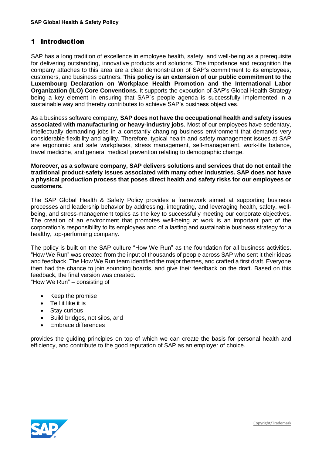## <span id="page-4-0"></span>1 Introduction

SAP has a long tradition of excellence in employee health, safety, and well-being as a prerequisite for delivering outstanding, innovative products and solutions. The importance and recognition the company attaches to this area are a clear demonstration of SAP's commitment to its employees, customers, and business partners. **This policy is an extension of our public commitment to the Luxembourg Declaration on Workplace Health Promotion and the International Labor Organization (ILO) Core Conventions.** It supports the execution of SAP's Global Health Strategy being a key element in ensuring that SAP´s people agenda is successfully implemented in a sustainable way and thereby contributes to achieve SAP's business objectives.

As a business software company, **SAP does not have the occupational health and safety issues associated with manufacturing or heavy-industry jobs**. Most of our employees have sedentary, intellectually demanding jobs in a constantly changing business environment that demands very considerable flexibility and agility. Therefore, typical health and safety management issues at SAP are ergonomic and safe workplaces, stress management, self-management, work-life balance, travel medicine, and general medical prevention relating to demographic change.

#### **Moreover, as a software company, SAP delivers solutions and services that do not entail the traditional product-safety issues associated with many other industries. SAP does not have a physical production process that poses direct health and safety risks for our employees or customers.**

The SAP Global Health & Safety Policy provides a framework aimed at supporting business processes and leadership behavior by addressing, integrating, and leveraging health, safety, wellbeing, and stress-management topics as the key to successfully meeting our corporate objectives. The creation of an environment that promotes well-being at work is an important part of the corporation's responsibility to its employees and of a lasting and sustainable business strategy for a healthy, top-performing company.

The policy is built on the SAP culture "How We Run" as the foundation for all business activities. "How We Run" was created from the input of thousands of people across SAP who sent it their ideas and feedback. The How We Run team identified the major themes, and crafted a first draft. Everyone then had the chance to join sounding boards, and give their feedback on the draft. Based on this feedback, the final version was created.

"How We Run" – consisting of

- Keep the promise
- Tell it like it is
- Stay curious
- Build bridges, not silos, and
- Embrace differences

provides the guiding principles on top of which we can create the basis for personal health and efficiency, and contribute to the good reputation of SAP as an employer of choice.



[Copyright/Trademark](http://www.sap.com/company/legal/copyright/index.epx)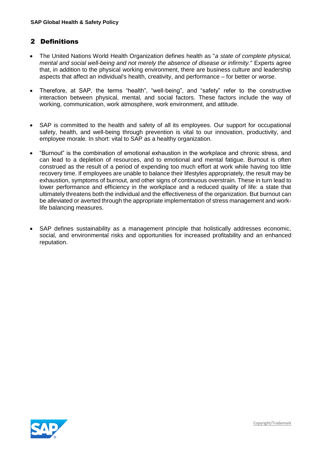## <span id="page-5-0"></span>2 Definitions

- The United Nations World Health Organization defines health as "*a state of complete physical, mental and social well-being and not merely the absence of disease or infirmity.*" Experts agree that, in addition to the physical working environment, there are business culture and leadership aspects that affect an individual's health, creativity, and performance – for better or worse.
- Therefore, at SAP, the terms "health", "well-being", and "safety" refer to the constructive interaction between physical, mental, and social factors. These factors include the way of working, communication, work atmosphere, work environment, and attitude.
- SAP is committed to the health and safety of all its employees. Our support for occupational safety, health, and well-being through prevention is vital to our innovation, productivity, and employee morale. In short: vital to SAP as a healthy organization.
- "Burnout" is the combination of emotional exhaustion in the workplace and chronic stress, and can lead to a depletion of resources, and to emotional and mental fatigue. Burnout is often construed as the result of a period of expending too much effort at work while having too little recovery time. If employees are unable to balance their lifestyles appropriately, the result may be exhaustion, symptoms of burnout, and other signs of continuous overstrain. These in turn lead to lower performance and efficiency in the workplace and a reduced quality of life: a state that ultimately threatens both the individual and the effectiveness of the organization. But burnout can be alleviated or averted through the appropriate implementation of stress management and worklife balancing measures.
- SAP defines sustainability as a management principle that holistically addresses economic, social, and environmental risks and opportunities for increased profitability and an enhanced reputation.

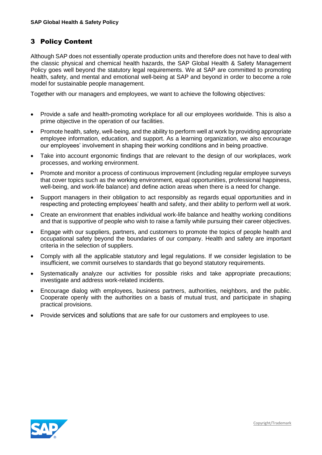## <span id="page-6-0"></span>3 Policy Content

Although SAP does not essentially operate production units and therefore does not have to deal with the classic physical and chemical health hazards, the SAP Global Health & Safety Management Policy goes well beyond the statutory legal requirements. We at SAP are committed to promoting health, safety, and mental and emotional well-being at SAP and beyond in order to become a role model for sustainable people management.

Together with our managers and employees, we want to achieve the following objectives:

- Provide a safe and health-promoting workplace for all our employees worldwide. This is also a prime objective in the operation of our facilities.
- Promote health, safety, well-being, and the ability to perform well at work by providing appropriate employee information, education, and support. As a learning organization, we also encourage our employees' involvement in shaping their working conditions and in being proactive.
- Take into account ergonomic findings that are relevant to the design of our workplaces, work processes, and working environment.
- Promote and monitor a process of continuous improvement (including regular employee surveys that cover topics such as the working environment, equal opportunities, professional happiness, well-being, and work-life balance) and define action areas when there is a need for change.
- Support managers in their obligation to act responsibly as regards equal opportunities and in respecting and protecting employees' health and safety, and their ability to perform well at work.
- Create an environment that enables individual work-life balance and healthy working conditions and that is supportive of people who wish to raise a family while pursuing their career objectives.
- Engage with our suppliers, partners, and customers to promote the topics of people health and occupational safety beyond the boundaries of our company. Health and safety are important criteria in the selection of suppliers.
- Comply with all the applicable statutory and legal regulations. If we consider legislation to be insufficient, we commit ourselves to standards that go beyond statutory requirements.
- Systematically analyze our activities for possible risks and take appropriate precautions; investigate and address work-related incidents.
- Encourage dialog with employees, business partners, authorities, neighbors, and the public. Cooperate openly with the authorities on a basis of mutual trust, and participate in shaping practical provisions.
- Provide services and solutions that are safe for our customers and employees to use.

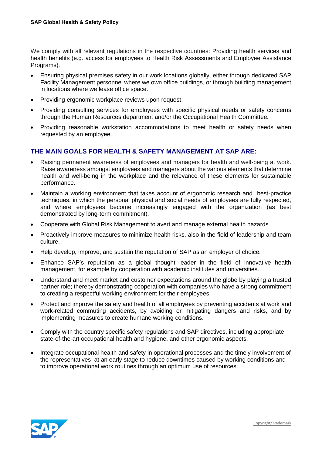We comply with all relevant regulations in the respective countries: Providing health services and health benefits (e.g. access for employees to Health Risk Assessments and Employee Assistance Programs).

- Ensuring physical premises safety in our work locations globally, either through dedicated SAP Facility Management personnel where we own office buildings, or through building management in locations where we lease office space.
- Providing ergonomic workplace reviews upon request.
- Providing consulting services for employees with specific physical needs or safety concerns through the Human Resources department and/or the Occupational Health Committee.
- Providing reasonable workstation accommodations to meet health or safety needs when requested by an employee.

### **THE MAIN GOALS FOR HEALTH & SAFETY MANAGEMENT AT SAP ARE:**

- Raising permanent awareness of employees and managers for health and well-being at work. Raise awareness amongst employees and managers about the various elements that determine health and well-being in the workplace and the relevance of these elements for sustainable performance.
- Maintain a working environment that takes account of ergonomic research and best-practice techniques, in which the personal physical and social needs of employees are fully respected, and where employees become increasingly engaged with the organization (as best demonstrated by long-term commitment).
- Cooperate with Global Risk Management to avert and manage external health hazards.
- Proactively improve measures to minimize health risks, also in the field of leadership and team culture.
- Help develop, improve, and sustain the reputation of SAP as an employer of choice.
- Enhance SAP's reputation as a global thought leader in the field of innovative health management, for example by cooperation with academic institutes and universities.
- Understand and meet market and customer expectations around the globe by playing a trusted partner role; thereby demonstrating cooperation with companies who have a strong commitment to creating a respectful working environment for their employees.
- Protect and improve the safety and health of all employees by preventing accidents at work and work-related commuting accidents, by avoiding or mitigating dangers and risks, and by implementing measures to create humane working conditions.
- Comply with the country specific safety regulations and SAP directives, including appropriate state-of-the-art occupational health and hygiene, and other ergonomic aspects.
- Integrate occupational health and safety in operational processes and the timely involvement of the representatives at an early stage to reduce downtimes caused by working conditions and to improve operational work routines through an optimum use of resources.